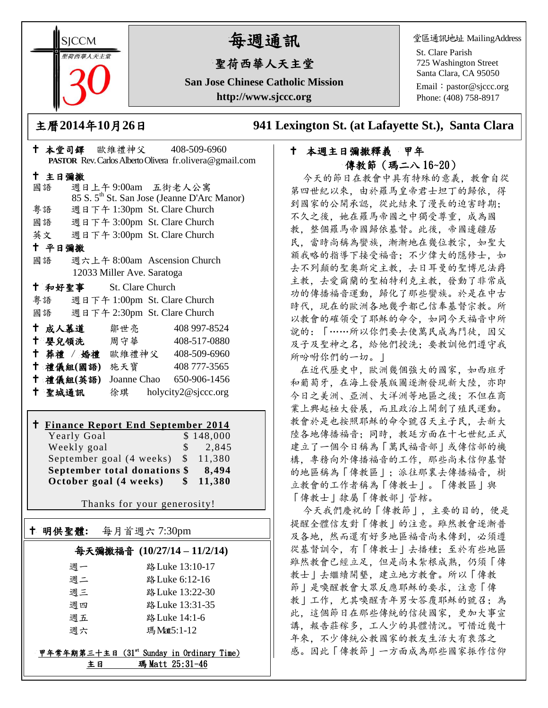**SICCM** 智荷西華人天主堂

# 每週通訊

## 聖荷西華人天主堂

**San Jose Chinese Catholic Mission http://www.sjccc.org**

堂區通訊地址 MailingAddress

St. Clare Parish 725 Washington Street Santa Clara, CA 95050

Email: [pastor@sjccc.org](mailto:pastor@sjccc.org) Phone: (408) 758-8917

主曆**2014**年**10**月**26**日 **941 Lexington St. (at Lafayette St.), Santa Clara** 

#### 本堂司鐸 歐維禮神父 408-509-6960 **PASTOR** Rev. Carlos Alberto Olivera fr.olivera@gmail.com 主日彌撒 國語 週日上午 9:00am 五街老人公寓 85 S. 5th St. San Jose (Jeanne D'Arc Manor) 粵語 週日下午 1:30pm St. Clare Church 國語 週日下午 3:00pm St. Clare Church 英文 週日下午 3:00pm St. Clare Church 平日彌撒 國語 週六上午 8:00am Ascension Church 12033 Miller Ave. Saratoga 和好聖事 St. Clare Church 粵語 週日下午 1:00pm St. Clare Church 國語 週日下午 2:30pm St. Clare Church 成人慕道 鄒世亮 408 997-8524 嬰兒領洗 周守華 408-517-0880 葬禮 / 婚禮 歐維禮神父 408-509-6960 禮儀組**(**國語**)** 施天寶 408 777-3565 禮儀組**(**英語**)** Joanne Chao 650-906-1456

聖城通訊 徐琪 holycity2@sjccc.org

## **Finance Report End September 2014**

| Yearly Goal                  |     | \$148,000 |
|------------------------------|-----|-----------|
| Weekly goal                  | S.  | 2,845     |
| September goal (4 weeks) \$  |     | 11.380    |
| September total donations \$ |     | 8,494     |
| October goal (4 weeks)       | SS. | 11,380    |

Thanks for your generosity!

## 明供聖體**:** 每月首週六 7:30pm

Ξ

#### 每天彌撒福音 **(10/27/14 – 11/2/14)**

| 调一 | 路 Luke 13:10-17 |
|----|-----------------|
| 週二 | 路 Luke 6:12-16  |
| 週三 | 路 Luke 13:22-30 |
| 调四 | 路 Luke 13:31-35 |
| 週五 | 路 Luke 14:1-6   |
| 调六 | 瑪Matt5:1-12     |

#### 甲年常年期第三十主日 (31st Sunday in Ordinary Time) 主日 瑪 Matt 25:31-46

### 本週主日彌撒釋義甲年 傳教節(瑪二八 16~20)

今天的節日在教會中具有特殊的意義,教會自從 第四世紀以來,由於羅馬皇帝君士坦丁的歸依,得 到國家的公開承認,從此結束了漫長的迫害時期; 不久之後,她在羅馬帝國之中獨受尊重,成為國 教,整個羅馬帝國歸依基督。此後,帝國邊疆居 民,當時尚稱為蠻族,漸漸地在幾位教宗,如聖大 額我略的指導下接受福音;不少偉大的隱修士,如 去不列顛的聖奧斯定主教,去日耳曼的聖博尼法爵 主教,去愛爾蘭的聖柏特利克主教,發動了非常成 功的傳播福音運動,歸化了那些蠻族。於是在中古 時代,現在的歐洲各地幾乎都已信奉基督宗教。所 以教會的確領受了耶穌的命令,如同今天福音中所 說的:「……所以你們要去使萬民成為門徒,因父 及子及聖神之名,給他們授洗;要教訓他們遵守我 所吩咐你們的一切。」

在近代歷史中,歐洲幾個強大的國家,如西班牙 和葡萄牙,在海上發展版圖逐漸發現新大陸,亦即 今日之美洲、亞洲、大洋洲等地區之後;不但在商 業上興起極大發展,而且政治上開創了殖民運動。 教會於是也按照耶穌的命令號召天主子民,去新大 陸各地傳播福音;同時,教廷方面在十七世紀正式 建立了一個今日稱為「萬民福音部」或傳信部的機 構,專務向外傳播福音的工作,那些尚未信仰基督 的地區稱為「傳教區」;派往那裏去傳播福音,樹 立教會的工作者稱為「傳教士」。「傳教區」與 「傳教士」隸屬「傳教部」管轄。

今天我們慶祝的「傳教節」,主要的目的,便是 提醒全體信友對「傳教」的注意。雖然教會逐漸普 及各地,然而還有好多地區福音尚未傳到,必須遵 從基督訓令,有「傳教士」去播種;至於有些地區 雖然教會已經立足,但是尚未紮根成熟,仍須「傳 教士」去繼續開墾,建立地方教會。所以「傳教 節」是喚醒教會大眾反應耶穌的要求,注意「傳 教」工作,尤其喚醒青年男女答覆耶穌的號召;為 此,這個節日在那些傳統的信徒國家,更加大事宣 講,報告莊稼多,工人少的具體情況。可惜近幾十 年來,不少傳統公教國家的教友生活大有衰落之 感。因此「傳教節」一方面成為那些國家振作信仰